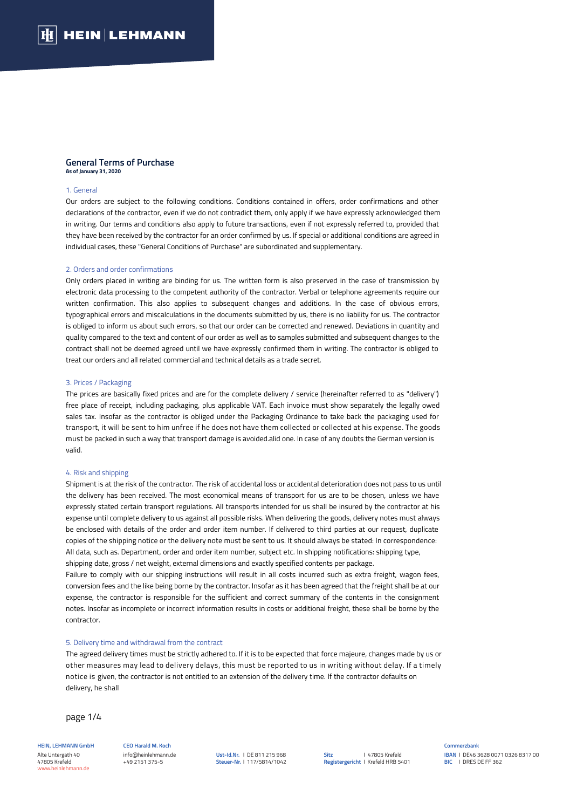#### **General Terms of Purchase As of January 31, 2020**

#### 1. General

Our orders are subject to the following conditions. Conditions contained in offers, order confirmations and other declarations of the contractor, even if we do not contradict them, only apply if we have expressly acknowledged them in writing. Our terms and conditions also apply to future transactions, even if not expressly referred to, provided that they have been received by the contractor for an order confirmed by us. If special or additional conditions are agreed in individual cases, these "General Conditions of Purchase" are subordinated and supplementary.

### 2. Orders and order confirmations

Only orders placed in writing are binding for us. The written form is also preserved in the case of transmission by electronic data processing to the competent authority of the contractor. Verbal or telephone agreements require our written confirmation. This also applies to subsequent changes and additions. In the case of obvious errors, typographical errors and miscalculations in the documents submitted by us, there is no liability for us. The contractor is obliged to inform us about such errors, so that our order can be corrected and renewed. Deviations in quantity and quality compared to the text and content of our order as well as to samples submitted and subsequent changes to the contract shall not be deemed agreed until we have expressly confirmed them in writing. The contractor is obliged to treat our orders and all related commercial and technical details as a trade secret.

# 3. Prices / Packaging

The prices are basically fixed prices and are for the complete delivery / service (hereinafter referred to as "delivery") free place of receipt, including packaging, plus applicable VAT. Each invoice must show separately the legally owed sales tax. Insofar as the contractor is obliged under the Packaging Ordinance to take back the packaging used for transport, it will be sent to him unfree if he does not have them collected or collected at his expense. The goods must be packed in such a way that transport damage is avoided.alid one. In case of any doubts the German version is valid.

### 4. Risk and shipping

Shipment is at the risk of the contractor. The risk of accidental loss or accidental deterioration does not pass to us until the delivery has been received. The most economical means of transport for us are to be chosen, unless we have expressly stated certain transport regulations. All transports intended for us shall be insured by the contractor at his expense until complete delivery to us against all possible risks. When delivering the goods, delivery notes must always be enclosed with details of the order and order item number. If delivered to third parties at our request, duplicate copies of the shipping notice or the delivery note must be sent to us. It should always be stated: In correspondence: All data, such as. Department, order and order item number, subject etc. In shipping notifications: shipping type, shipping date, gross / net weight, external dimensions and exactly specified contents per package.

Failure to comply with our shipping instructions will result in all costs incurred such as extra freight, wagon fees, conversion fees and the like being borne by the contractor. Insofar as it has been agreed that the freight shall be at our expense, the contractor is responsible for the sufficient and correct summary of the contents in the consignment notes. Insofar as incomplete or incorrect information results in costs or additional freight, these shall be borne by the contractor.

# 5. Delivery time and withdrawal from the contract

The agreed delivery times must be strictly adhered to. If it is to be expected that force majeure, changes made by us or other measures may lead to delivery delays, this must be reported to us in writing without delay. If a timely notice is given, the contractor is not entitled to an extension of the delivery time. If the contractor defaults on delivery, he shall

page 1/4

**HEIN, LEHMANN GmbH** Alte Untergath 40 47805 Krefeld www.heinlehmann.de

#### **CEO Harald M. Koch**  info@heinlehmann.de +49 2151 375-5

**Ust-Id.Nr.** I DE 811 215 968 **Steuer-Nr.** I 117/5814/1042

#### **Commerzbank IBAN** I DE46 3628 0071 0326 8317 00 **BIC** I DRES DE FF 362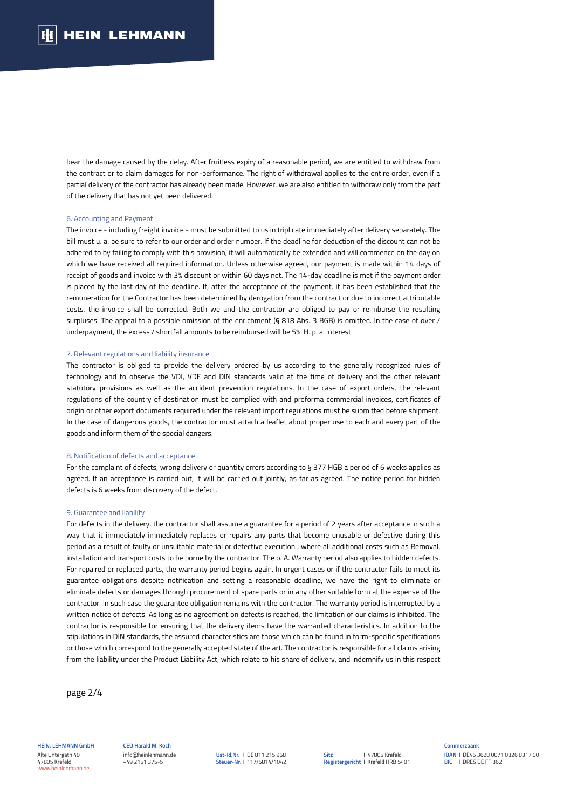bear the damage caused by the delay. After fruitless expiry of a reasonable period, we are entitled to withdraw from the contract or to claim damages for non-performance. The right of withdrawal applies to the entire order, even if a partial delivery of the contractor has already been made. However, we are also entitled to withdraw only from the part of the delivery that has not yet been delivered.

# 6. Accounting and Payment

The invoice - including freight invoice - must be submitted to us in triplicate immediately after delivery separately. The bill must u. a. be sure to refer to our order and order number. If the deadline for deduction of the discount can not be adhered to by failing to comply with this provision, it will automatically be extended and will commence on the day on which we have received all required information. Unless otherwise agreed, our payment is made within 14 days of receipt of goods and invoice with 3% discount or within 60 days net. The 14-day deadline is met if the payment order is placed by the last day of the deadline. If, after the acceptance of the payment, it has been established that the remuneration for the Contractor has been determined by derogation from the contract or due to incorrect attributable costs, the invoice shall be corrected. Both we and the contractor are obliged to pay or reimburse the resulting surpluses. The appeal to a possible omission of the enrichment (§ 818 Abs. 3 BGB) is omitted. In the case of over / underpayment, the excess / shortfall amounts to be reimbursed will be 5%. H. p. a. interest.

### 7. Relevant regulations and liability insurance

The contractor is obliged to provide the delivery ordered by us according to the generally recognized rules of technology and to observe the VDI, VDE and DIN standards valid at the time of delivery and the other relevant statutory provisions as well as the accident prevention regulations. In the case of export orders, the relevant regulations of the country of destination must be complied with and proforma commercial invoices, certificates of origin or other export documents required under the relevant import regulations must be submitted before shipment. In the case of dangerous goods, the contractor must attach a leaflet about proper use to each and every part of the goods and inform them of the special dangers.

# 8. Notification of defects and acceptance

For the complaint of defects, wrong delivery or quantity errors according to § 377 HGB a period of 6 weeks applies as agreed. If an acceptance is carried out, it will be carried out jointly, as far as agreed. The notice period for hidden defects is 6 weeks from discovery of the defect.

#### 9. Guarantee and liability

For defects in the delivery, the contractor shall assume a guarantee for a period of 2 years after acceptance in such a way that it immediately immediately replaces or repairs any parts that become unusable or defective during this period as a result of faulty or unsuitable material or defective execution , where all additional costs such as Removal, installation and transport costs to be borne by the contractor. The o. A. Warranty period also applies to hidden defects. For repaired or replaced parts, the warranty period begins again. In urgent cases or if the contractor fails to meet its guarantee obligations despite notification and setting a reasonable deadline, we have the right to eliminate or eliminate defects or damages through procurement of spare parts or in any other suitable form at the expense of the contractor. In such case the guarantee obligation remains with the contractor. The warranty period is interrupted by a written notice of defects. As long as no agreement on defects is reached, the limitation of our claims is inhibited. The contractor is responsible for ensuring that the delivery items have the warranted characteristics. In addition to the stipulations in DIN standards, the assured characteristics are those which can be found in form-specific specifications or those which correspond to the generally accepted state of the art. The contractor is responsible for all claims arising from the liability under the Product Liability Act, which relate to his share of delivery, and indemnify us in this respect

page 2/4

**HEIN, LEHMANN GmbH** Alte Untergath 40 47805 Krefeld www.heinlehmann.de

**CEO Harald M. Koch**  info@heinlehmann.de +49 2151 375-5

**Ust-Id.Nr.** I DE 811 215 968 **Steuer-Nr.** I 117/5814/1042 **Sitz Registergericht** I Krefeld HRB 5401 I 47805 Krefeld

**Commerzbank IBAN** I DE46 3628 0071 0326 8317 00 **BIC** I DRES DE FF 362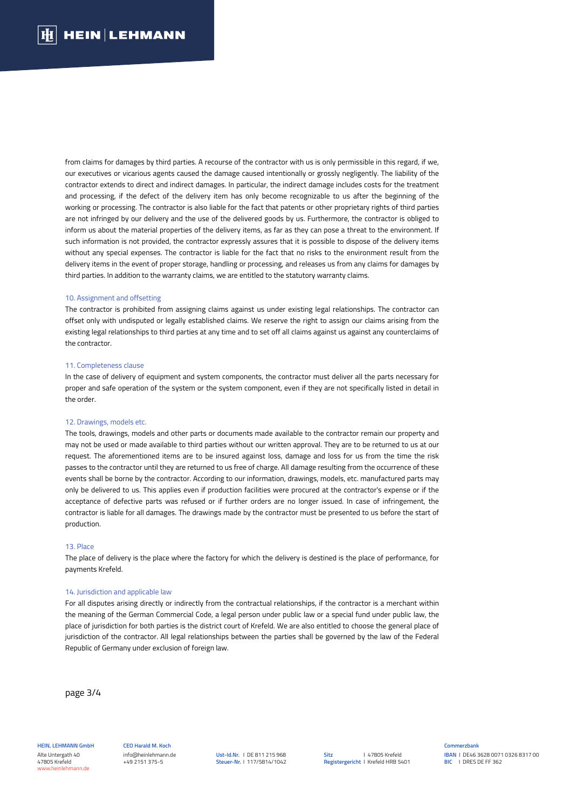from claims for damages by third parties. A recourse of the contractor with us is only permissible in this regard, if we, our executives or vicarious agents caused the damage caused intentionally or grossly negligently. The liability of the contractor extends to direct and indirect damages. In particular, the indirect damage includes costs for the treatment and processing, if the defect of the delivery item has only become recognizable to us after the beginning of the working or processing. The contractor is also liable for the fact that patents or other proprietary rights of third parties are not infringed by our delivery and the use of the delivered goods by us. Furthermore, the contractor is obliged to inform us about the material properties of the delivery items, as far as they can pose a threat to the environment. If such information is not provided, the contractor expressly assures that it is possible to dispose of the delivery items without any special expenses. The contractor is liable for the fact that no risks to the environment result from the delivery items in the event of proper storage, handling or processing, and releases us from any claims for damages by third parties. In addition to the warranty claims, we are entitled to the statutory warranty claims.

#### 10. Assignment and offsetting

The contractor is prohibited from assigning claims against us under existing legal relationships. The contractor can offset only with undisputed or legally established claims. We reserve the right to assign our claims arising from the existing legal relationships to third parties at any time and to set off all claims against us against any counterclaims of the contractor.

### 11. Completeness clause

In the case of delivery of equipment and system components, the contractor must deliver all the parts necessary for proper and safe operation of the system or the system component, even if they are not specifically listed in detail in the order.

#### 12. Drawings, models etc.

The tools, drawings, models and other parts or documents made available to the contractor remain our property and may not be used or made available to third parties without our written approval. They are to be returned to us at our request. The aforementioned items are to be insured against loss, damage and loss for us from the time the risk passes to the contractor until they are returned to us free of charge. All damage resulting from the occurrence of these events shall be borne by the contractor. According to our information, drawings, models, etc. manufactured parts may only be delivered to us. This applies even if production facilities were procured at the contractor's expense or if the acceptance of defective parts was refused or if further orders are no longer issued. In case of infringement, the contractor is liable for all damages. The drawings made by the contractor must be presented to us before the start of production.

#### 13. Place

The place of delivery is the place where the factory for which the delivery is destined is the place of performance, for payments Krefeld.

# 14. Jurisdiction and applicable law

For all disputes arising directly or indirectly from the contractual relationships, if the contractor is a merchant within the meaning of the German Commercial Code, a legal person under public law or a special fund under public law, the place of jurisdiction for both parties is the district court of Krefeld. We are also entitled to choose the general place of jurisdiction of the contractor. All legal relationships between the parties shall be governed by the law of the Federal Republic of Germany under exclusion of foreign law.

page 3/4

**HEIN, LEHMANN GmbH** Alte Untergath 40 47805 Krefeld www.heinlehmann.de